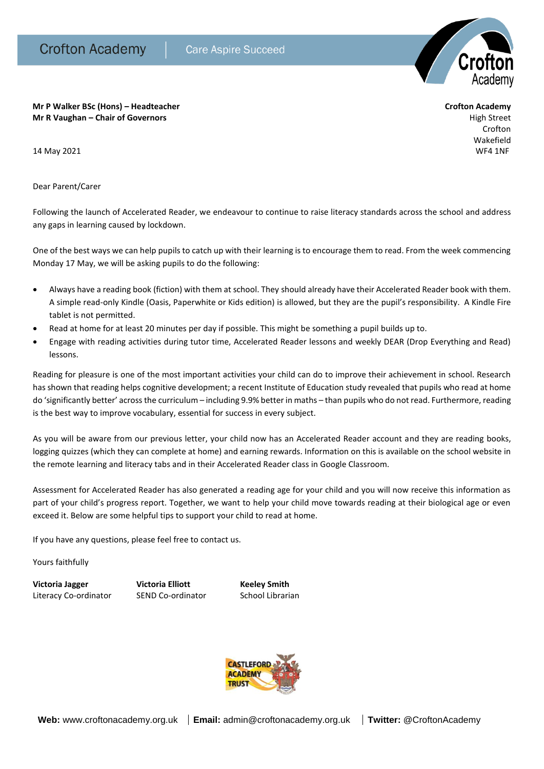

**Mr P Walker BSc (Hons) – Headteacher Crofton Academy Mr R Vaughan – Chair of Governors** High Street

Crofton Wakefield 14 May 2021 WF4 1NF

Dear Parent/Carer

Following the launch of Accelerated Reader, we endeavour to continue to raise literacy standards across the school and address any gaps in learning caused by lockdown.

One of the best ways we can help pupils to catch up with their learning is to encourage them to read. From the week commencing Monday 17 May, we will be asking pupils to do the following:

- Always have a reading book (fiction) with them at school. They should already have their Accelerated Reader book with them. A simple read-only Kindle (Oasis, Paperwhite or Kids edition) is allowed, but they are the pupil's responsibility. A Kindle Fire tablet is not permitted.
- Read at home for at least 20 minutes per day if possible. This might be something a pupil builds up to.
- Engage with reading activities during tutor time, Accelerated Reader lessons and weekly DEAR (Drop Everything and Read) lessons.

Reading for pleasure is one of the most important activities your child can do to improve their achievement in school. Research has shown that reading helps cognitive development; a recent Institute of Education study revealed that pupils who read at home do 'significantly better' across the curriculum – including 9.9% better in maths – than pupils who do not read. Furthermore, reading is the best way to improve vocabulary, essential for success in every subject.

As you will be aware from our previous letter, your child now has an Accelerated Reader account and they are reading books, logging quizzes (which they can complete at home) and earning rewards. Information on this is available on the school website in the remote learning and literacy tabs and in their Accelerated Reader class in Google Classroom.

Assessment for Accelerated Reader has also generated a reading age for your child and you will now receive this information as part of your child's progress report. Together, we want to help your child move towards reading at their biological age or even exceed it. Below are some helpful tips to support your child to read at home.

If you have any questions, please feel free to contact us.

Yours faithfully

**Victoria Jagger Victoria Elliott Keeley Smith**  Literacy Co-ordinator SEND Co-ordinator School Librarian